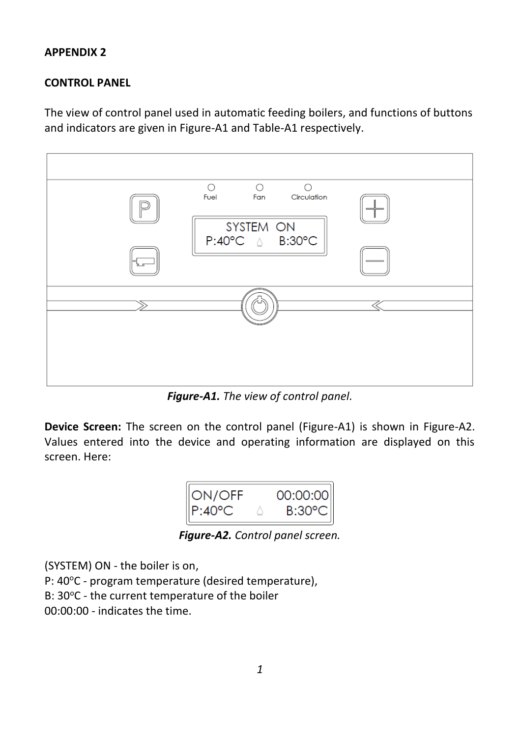### **APPENDIX 2**

## **CONTROL PANEL**

The view of control panel used in automatic feeding boilers, and functions of buttons and indicators are given in Figure-A1 and Table-A1 respectively.



*Figure-A1. The view of control panel.*

**Device Screen:** The screen on the control panel (Figure-A1) is shown in Figure-A2. Values entered into the device and operating information are displayed on this screen. Here:

| ON/OFF                  | 00:00:00 |
|-------------------------|----------|
| $P^{\star}A(Y^{\star})$ | RASUM C  |

*Figure-A2. Control panel screen.*

(SYSTEM) ON - the boiler is on,

P: 40°C - program temperature (desired temperature),

B: 30°C - the current temperature of the boiler

00:00:00 - indicates the time.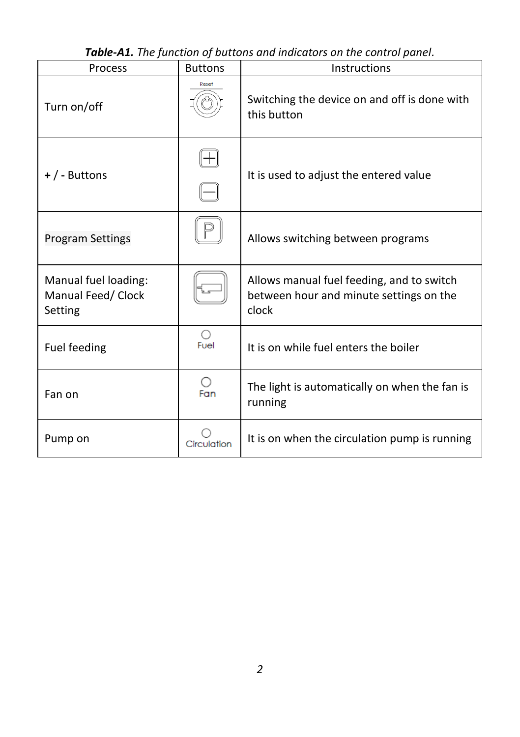| <b>Process</b>                                        | <b>Buttons</b>     | Instructions                                                                                  |  |
|-------------------------------------------------------|--------------------|-----------------------------------------------------------------------------------------------|--|
| Turn on/off                                           | Reset              | Switching the device on and off is done with<br>this button                                   |  |
| $+$ / - Buttons                                       |                    | It is used to adjust the entered value                                                        |  |
| <b>Program Settings</b>                               |                    | Allows switching between programs                                                             |  |
| Manual fuel loading:<br>Manual Feed/ Clock<br>Setting |                    | Allows manual fuel feeding, and to switch<br>between hour and minute settings on the<br>clock |  |
| Fuel feeding                                          | $\bigcirc$<br>Fuel | It is on while fuel enters the boiler                                                         |  |
| Fan on                                                | ○<br>Fan           | The light is automatically on when the fan is<br>running                                      |  |
| Pump on                                               | Circulation        | It is on when the circulation pump is running                                                 |  |

*Table-A1. The function of buttons and indicators on the control panel.*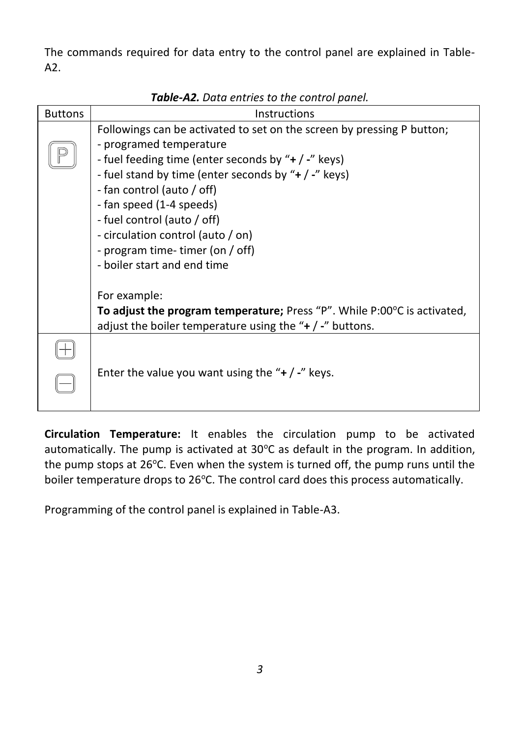The commands required for data entry to the control panel are explained in Table-A2.

| <b>Buttons</b> | Instructions                                                                                                                                                                                                                                                                                                                                                                                                      |
|----------------|-------------------------------------------------------------------------------------------------------------------------------------------------------------------------------------------------------------------------------------------------------------------------------------------------------------------------------------------------------------------------------------------------------------------|
|                | Followings can be activated to set on the screen by pressing P button;<br>- programed temperature<br>- fuel feeding time (enter seconds by "+ / -" keys)<br>- fuel stand by time (enter seconds by "+ / -" keys)<br>- fan control (auto / off)<br>- fan speed (1-4 speeds)<br>- fuel control (auto / off)<br>- circulation control (auto / on)<br>- program time- timer (on / off)<br>- boiler start and end time |
|                | For example:<br>To adjust the program temperature; Press "P". While P:00°C is activated,<br>adjust the boiler temperature using the " $+$ / -" buttons.                                                                                                                                                                                                                                                           |
|                | Enter the value you want using the " $+$ / -" keys.                                                                                                                                                                                                                                                                                                                                                               |

*Table-A2. Data entries to the control panel.*

**Circulation Temperature:** It enables the circulation pump to be activated automatically. The pump is activated at  $30^{\circ}$ C as default in the program. In addition, the pump stops at  $26^{\circ}$ C. Even when the system is turned off, the pump runs until the boiler temperature drops to 26°C. The control card does this process automatically.

Programming of the control panel is explained in Table-A3.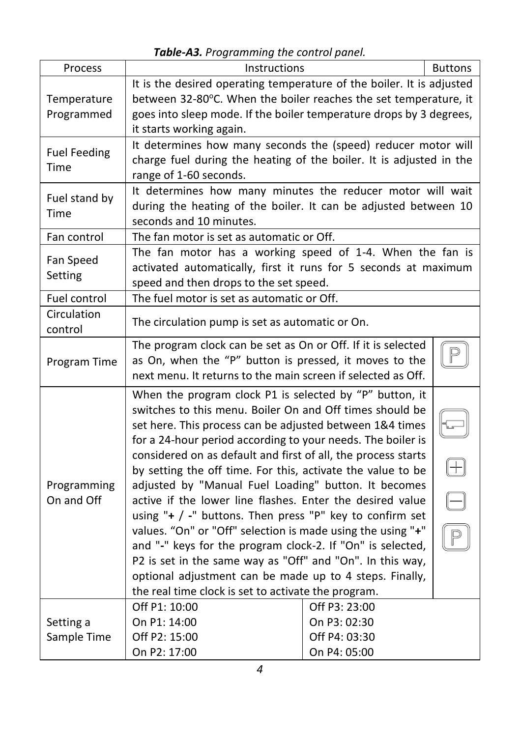|                             | <b>rapic As.</b> Trogramming the control panel.                                                                                                                                                                                                                                                                                                                                                                                                                                                                                                                                                                                                                                                                                                                                                                                                                                |                                                                |                |  |
|-----------------------------|--------------------------------------------------------------------------------------------------------------------------------------------------------------------------------------------------------------------------------------------------------------------------------------------------------------------------------------------------------------------------------------------------------------------------------------------------------------------------------------------------------------------------------------------------------------------------------------------------------------------------------------------------------------------------------------------------------------------------------------------------------------------------------------------------------------------------------------------------------------------------------|----------------------------------------------------------------|----------------|--|
| Process                     | Instructions                                                                                                                                                                                                                                                                                                                                                                                                                                                                                                                                                                                                                                                                                                                                                                                                                                                                   |                                                                | <b>Buttons</b> |  |
| Temperature<br>Programmed   | It is the desired operating temperature of the boiler. It is adjusted<br>between 32-80°C. When the boiler reaches the set temperature, it<br>goes into sleep mode. If the boiler temperature drops by 3 degrees,<br>it starts working again.                                                                                                                                                                                                                                                                                                                                                                                                                                                                                                                                                                                                                                   |                                                                |                |  |
| <b>Fuel Feeding</b><br>Time | It determines how many seconds the (speed) reducer motor will<br>charge fuel during the heating of the boiler. It is adjusted in the<br>range of 1-60 seconds.                                                                                                                                                                                                                                                                                                                                                                                                                                                                                                                                                                                                                                                                                                                 |                                                                |                |  |
| Fuel stand by<br>Time       | It determines how many minutes the reducer motor will wait<br>during the heating of the boiler. It can be adjusted between 10<br>seconds and 10 minutes.                                                                                                                                                                                                                                                                                                                                                                                                                                                                                                                                                                                                                                                                                                                       |                                                                |                |  |
| Fan control                 | The fan motor is set as automatic or Off.                                                                                                                                                                                                                                                                                                                                                                                                                                                                                                                                                                                                                                                                                                                                                                                                                                      |                                                                |                |  |
| Fan Speed<br>Setting        | The fan motor has a working speed of 1-4. When the fan is<br>activated automatically, first it runs for 5 seconds at maximum<br>speed and then drops to the set speed.                                                                                                                                                                                                                                                                                                                                                                                                                                                                                                                                                                                                                                                                                                         |                                                                |                |  |
| Fuel control                | The fuel motor is set as automatic or Off.                                                                                                                                                                                                                                                                                                                                                                                                                                                                                                                                                                                                                                                                                                                                                                                                                                     |                                                                |                |  |
| Circulation<br>control      | The circulation pump is set as automatic or On.                                                                                                                                                                                                                                                                                                                                                                                                                                                                                                                                                                                                                                                                                                                                                                                                                                |                                                                |                |  |
| Program Time                | The program clock can be set as On or Off. If it is selected<br>as On, when the "P" button is pressed, it moves to the<br>next menu. It returns to the main screen if selected as Off.                                                                                                                                                                                                                                                                                                                                                                                                                                                                                                                                                                                                                                                                                         |                                                                |                |  |
| Programming<br>On and Off   | When the program clock P1 is selected by "P" button, it<br>switches to this menu. Boiler On and Off times should be<br>set here. This process can be adjusted between 1&4 times<br>for a 24-hour period according to your needs. The boiler is<br>considered on as default and first of all, the process starts<br>by setting the off time. For this, activate the value to be<br>adjusted by "Manual Fuel Loading" button. It becomes<br>active if the lower line flashes. Enter the desired value<br>using " $+$ / -" buttons. Then press "P" key to confirm set<br>values. "On" or "Off" selection is made using the using "+"<br>and "-" keys for the program clock-2. If "On" is selected,<br>P2 is set in the same way as "Off" and "On". In this way,<br>optional adjustment can be made up to 4 steps. Finally,<br>the real time clock is set to activate the program. |                                                                |                |  |
| Setting a<br>Sample Time    | Off P1: 10:00<br>On P1: 14:00<br>Off P2: 15:00<br>On P2: 17:00                                                                                                                                                                                                                                                                                                                                                                                                                                                                                                                                                                                                                                                                                                                                                                                                                 | Off P3: 23:00<br>On P3: 02:30<br>Off P4: 03:30<br>On P4: 05:00 |                |  |

*Table-A3. Programming the control panel.*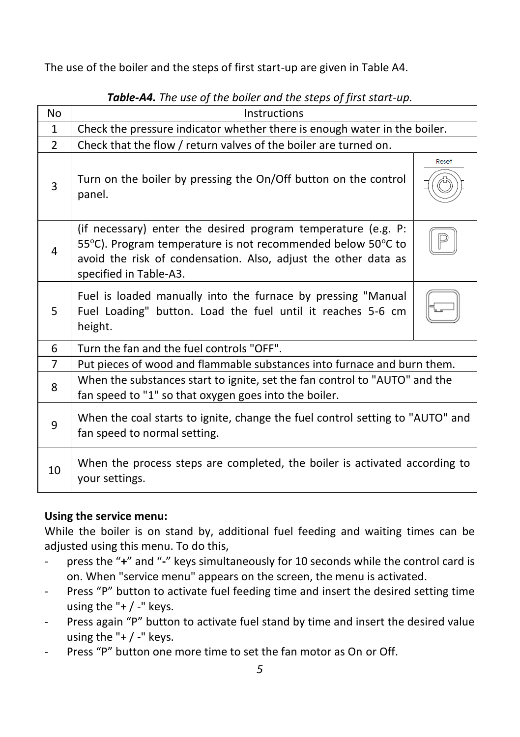The use of the boiler and the steps of first start-up are given in Table A4.

| No             | Instructions                                                                                                                                                                                                             |       |  |
|----------------|--------------------------------------------------------------------------------------------------------------------------------------------------------------------------------------------------------------------------|-------|--|
| $\mathbf{1}$   | Check the pressure indicator whether there is enough water in the boiler.                                                                                                                                                |       |  |
| $\mathcal{P}$  | Check that the flow / return valves of the boiler are turned on.                                                                                                                                                         |       |  |
| 3              | Turn on the boiler by pressing the On/Off button on the control<br>panel.                                                                                                                                                | Reset |  |
| 4              | (if necessary) enter the desired program temperature (e.g. P:<br>55°C). Program temperature is not recommended below 50°C to<br>avoid the risk of condensation. Also, adjust the other data as<br>specified in Table-A3. |       |  |
| 5              | Fuel is loaded manually into the furnace by pressing "Manual<br>Fuel Loading" button. Load the fuel until it reaches 5-6 cm<br>height.                                                                                   |       |  |
| 6              | Turn the fan and the fuel controls "OFF".                                                                                                                                                                                |       |  |
| $\overline{7}$ | Put pieces of wood and flammable substances into furnace and burn them.                                                                                                                                                  |       |  |
| 8              | When the substances start to ignite, set the fan control to "AUTO" and the<br>fan speed to "1" so that oxygen goes into the boiler.                                                                                      |       |  |
| 9              | When the coal starts to ignite, change the fuel control setting to "AUTO" and<br>fan speed to normal setting.                                                                                                            |       |  |
| 10             | When the process steps are completed, the boiler is activated according to<br>your settings.                                                                                                                             |       |  |

*Table-A4. The use of the boiler and the steps of first start-up.*

### **Using the service menu:**

While the boiler is on stand by, additional fuel feeding and waiting times can be adjusted using this menu. To do this,

- press the "**+**" and "**-**" keys simultaneously for 10 seconds while the control card is on. When "service menu" appears on the screen, the menu is activated.
- Press "P" button to activate fuel feeding time and insert the desired setting time using the " $+$  / -" keys.
- Press again "P" button to activate fuel stand by time and insert the desired value using the "+ / -" keys.
- Press "P" button one more time to set the fan motor as On or Off.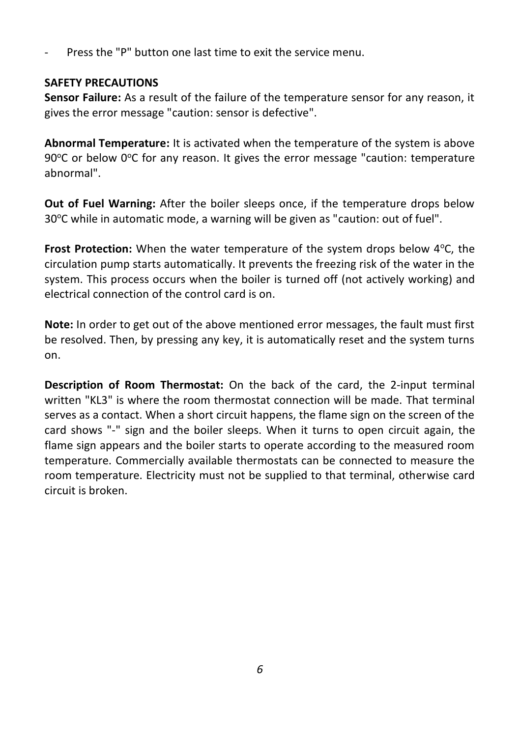Press the "P" button one last time to exit the service menu.

## **SAFETY PRECAUTIONS**

**Sensor Failure:** As a result of the failure of the temperature sensor for any reason, it gives the error message "caution: sensor is defective".

**Abnormal Temperature:** It is activated when the temperature of the system is above 90 $^{\circ}$ C or below 0 $^{\circ}$ C for any reason. It gives the error message "caution: temperature abnormal".

**Out of Fuel Warning:** After the boiler sleeps once, if the temperature drops below  $30^{\circ}$ C while in automatic mode, a warning will be given as "caution: out of fuel".

**Frost Protection:** When the water temperature of the system drops below 4<sup>o</sup>C, the circulation pump starts automatically. It prevents the freezing risk of the water in the system. This process occurs when the boiler is turned off (not actively working) and electrical connection of the control card is on.

**Note:** In order to get out of the above mentioned error messages, the fault must first be resolved. Then, by pressing any key, it is automatically reset and the system turns on.

**Description of Room Thermostat:** On the back of the card, the 2-input terminal written "KL3" is where the room thermostat connection will be made. That terminal serves as a contact. When a short circuit happens, the flame sign on the screen of the card shows "-" sign and the boiler sleeps. When it turns to open circuit again, the flame sign appears and the boiler starts to operate according to the measured room temperature. Commercially available thermostats can be connected to measure the room temperature. Electricity must not be supplied to that terminal, otherwise card circuit is broken.